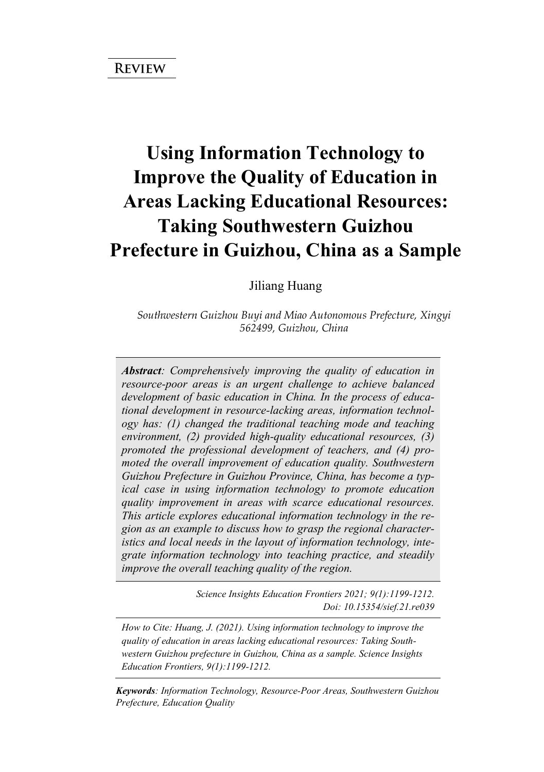# **Using Information Technology to Improve the Quality of Education in Areas Lacking Educational Resources: Taking Southwestern Guizhou Prefecture in Guizhou, China as a Sample**

Jiliang Huang

*Southwestern Guizhou Buyi and Miao Autonomous Prefecture, Xingyi 562499, Guizhou, China* 

*Abstract: Comprehensively improving the quality of education in resource-poor areas is an urgent challenge to achieve balanced development of basic education in China. In the process of educational development in resource-lacking areas, information technology has: (1) changed the traditional teaching mode and teaching environment, (2) provided high-quality educational resources, (3) promoted the professional development of teachers, and (4) promoted the overall improvement of education quality. Southwestern Guizhou Prefecture in Guizhou Province, China, has become a typical case in using information technology to promote education quality improvement in areas with scarce educational resources. This article explores educational information technology in the region as an example to discuss how to grasp the regional characteristics and local needs in the layout of information technology, integrate information technology into teaching practice, and steadily improve the overall teaching quality of the region.*

> *Science Insights Education Frontiers 2021; 9(1):1199-1212. Doi: 10.15354/sief.21.re039*

*How to Cite: Huang, J. (2021). Using information technology to improve the quality of education in areas lacking educational resources: Taking Southwestern Guizhou prefecture in Guizhou, China as a sample. Science Insights Education Frontiers, 9(1):1199-1212.*

*Keywords: Information Technology, Resource-Poor Areas, Southwestern Guizhou Prefecture, Education Quality*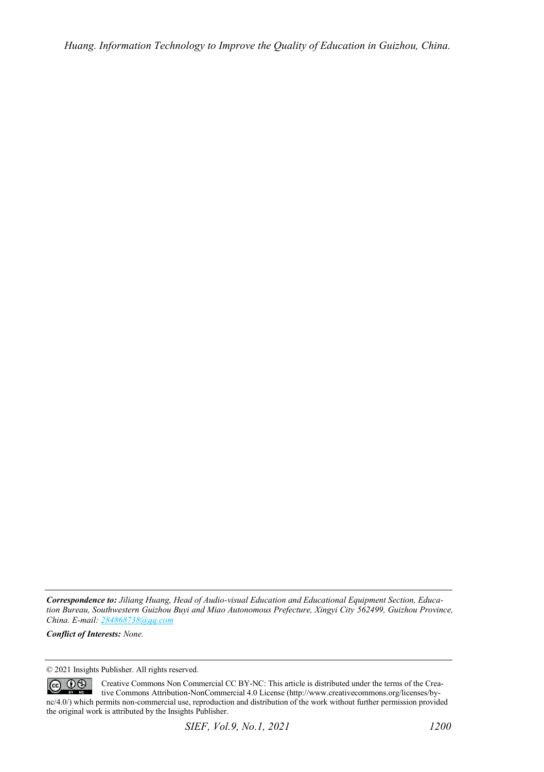*Huang. Information Technology to Improve the Quality of Education in Guizhou, China.* 

*Correspondence to: Jiliang Huang, Head of Audio-visual Education and Educational Equipment Section, Education Bureau, Southwestern Guizhou Buyi and Miao Autonomous Prefecture, Xingyi City 562499, Guizhou Province, China. E-mail[: 284868738@qq.com](mailto:284868738@qq.com)*

*Conflict of Interests: None.* 

© 2021 Insights Publisher. All rights reserved.

 $\circledcirc$   $\circledcirc$ Creative Commons Non Commercial CC BY-NC: This article is distributed under the terms of the Creative Commons Attribution-NonCommercial 4.0 License (http://www.creativecommons.org/licenses/bync/4.0/) which permits non-commercial use, reproduction and distribution of the work without further permission provided the original work is attributed by the Insights Publisher.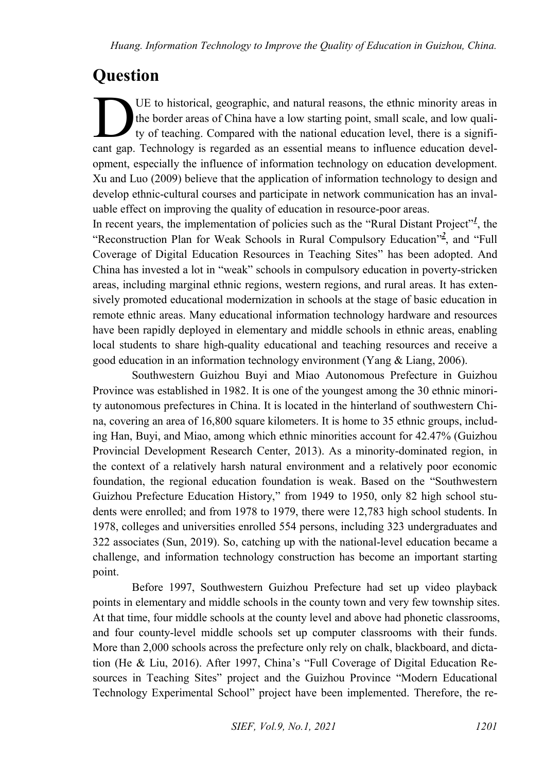## **Question**

UE to historical, geographic, and natural reasons, the ethnic minority areas in the border areas of China have a low starting point, small scale, and low quality of teaching. Compared with the national education level, there is a signifi-LE to historical, geographic, and natural reasons, the ethnic minority areas in the border areas of China have a low starting point, small scale, and low quality of teaching. Compared with the national education level, the opment, especially the influence of information technology on education development. Xu and Luo (2009) believe that the application of information technology to design and develop ethnic-cultural courses and participate in network communication has an invaluable effect on improving the quality of education in resource-poor areas.

In recent years, the implementation of policies such as the ["](#page-11-0)Rural Distant Project"<sup>1</sup>, the ["](#page-11-1)Reconstruction Plan for Weak Schools in Rural Compulsory Education"<sup>2</sup>, and "Full Coverage of Digital Education Resources in Teaching Sites" has been adopted. And China has invested a lot in "weak" schools in compulsory education in poverty-stricken areas, including marginal ethnic regions, western regions, and rural areas. It has extensively promoted educational modernization in schools at the stage of basic education in remote ethnic areas. Many educational information technology hardware and resources have been rapidly deployed in elementary and middle schools in ethnic areas, enabling local students to share high-quality educational and teaching resources and receive a good education in an information technology environment (Yang & Liang, 2006).

Southwestern Guizhou Buyi and Miao Autonomous Prefecture in Guizhou Province was established in 1982. It is one of the youngest among the 30 ethnic minority autonomous prefectures in China. It is located in the hinterland of southwestern China, covering an area of 16,800 square kilometers. It is home to 35 ethnic groups, including Han, Buyi, and Miao, among which ethnic minorities account for 42.47% (Guizhou Provincial Development Research Center, 2013). As a minority-dominated region, in the context of a relatively harsh natural environment and a relatively poor economic foundation, the regional education foundation is weak. Based on the "Southwestern Guizhou Prefecture Education History," from 1949 to 1950, only 82 high school students were enrolled; and from 1978 to 1979, there were 12,783 high school students. In 1978, colleges and universities enrolled 554 persons, including 323 undergraduates and 322 associates (Sun, 2019). So, catching up with the national-level education became a challenge, and information technology construction has become an important starting point.

Before 1997, Southwestern Guizhou Prefecture had set up video playback points in elementary and middle schools in the county town and very few township sites. At that time, four middle schools at the county level and above had phonetic classrooms, and four county-level middle schools set up computer classrooms with their funds. More than 2,000 schools across the prefecture only rely on chalk, blackboard, and dictation (He & Liu, 2016). After 1997, China's "Full Coverage of Digital Education Resources in Teaching Sites" project and the Guizhou Province "Modern Educational Technology Experimental School" project have been implemented. Therefore, the re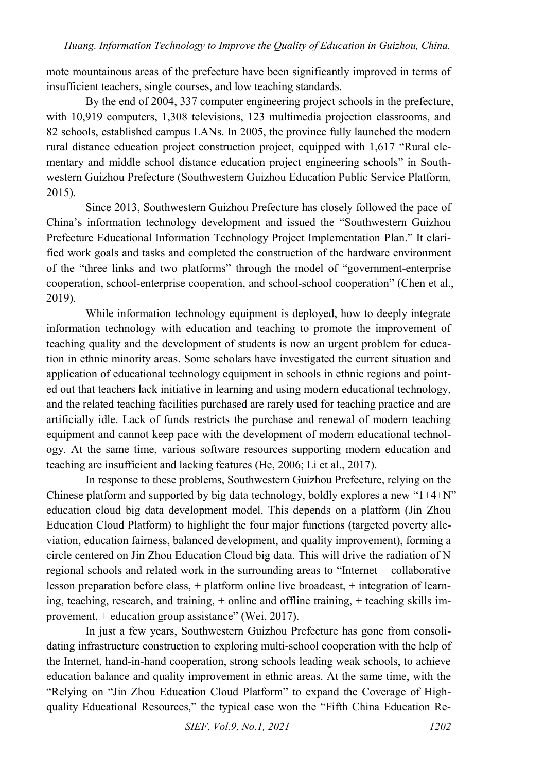mote mountainous areas of the prefecture have been significantly improved in terms of insufficient teachers, single courses, and low teaching standards.

By the end of 2004, 337 computer engineering project schools in the prefecture, with 10,919 computers, 1,308 televisions, 123 multimedia projection classrooms, and 82 schools, established campus LANs. In 2005, the province fully launched the modern rural distance education project construction project, equipped with 1,617 "Rural elementary and middle school distance education project engineering schools" in Southwestern Guizhou Prefecture (Southwestern Guizhou Education Public Service Platform, 2015).

Since 2013, Southwestern Guizhou Prefecture has closely followed the pace of China's information technology development and issued the "Southwestern Guizhou Prefecture Educational Information Technology Project Implementation Plan." It clarified work goals and tasks and completed the construction of the hardware environment of the "three links and two platforms" through the model of "government-enterprise cooperation, school-enterprise cooperation, and school-school cooperation" (Chen et al., 2019).

While information technology equipment is deployed, how to deeply integrate information technology with education and teaching to promote the improvement of teaching quality and the development of students is now an urgent problem for education in ethnic minority areas. Some scholars have investigated the current situation and application of educational technology equipment in schools in ethnic regions and pointed out that teachers lack initiative in learning and using modern educational technology, and the related teaching facilities purchased are rarely used for teaching practice and are artificially idle. Lack of funds restricts the purchase and renewal of modern teaching equipment and cannot keep pace with the development of modern educational technology. At the same time, various software resources supporting modern education and teaching are insufficient and lacking features (He, 2006; Li et al., 2017).

In response to these problems, Southwestern Guizhou Prefecture, relying on the Chinese platform and supported by big data technology, boldly explores a new " $1+4+N$ " education cloud big data development model. This depends on a platform (Jin Zhou Education Cloud Platform) to highlight the four major functions (targeted poverty alleviation, education fairness, balanced development, and quality improvement), forming a circle centered on Jin Zhou Education Cloud big data. This will drive the radiation of N regional schools and related work in the surrounding areas to "Internet + collaborative lesson preparation before class, + platform online live broadcast, + integration of learning, teaching, research, and training, + online and offline training, + teaching skills improvement, + education group assistance" (Wei, 2017).

In just a few years, Southwestern Guizhou Prefecture has gone from consolidating infrastructure construction to exploring multi-school cooperation with the help of the Internet, hand-in-hand cooperation, strong schools leading weak schools, to achieve education balance and quality improvement in ethnic areas. At the same time, with the "Relying on "Jin Zhou Education Cloud Platform" to expand the Coverage of Highquality Educational Resources," the typical case won the "Fifth China Education Re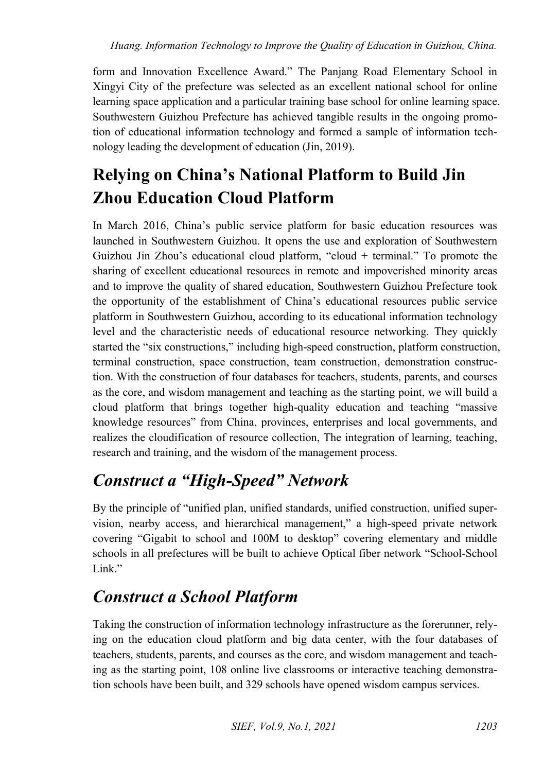form and Innovation Excellence Award." The Panjang Road Elementary School in Xingyi City of the prefecture was selected as an excellent national school for online learning space application and a particular training base school for online learning space. Southwestern Guizhou Prefecture has achieved tangible results in the ongoing promotion of educational information technology and formed a sample of information technology leading the development of education (Jin, 2019).

### **Relying on China's National Platform to Build Jin Zhou Education Cloud Platform**

In March 2016, China's public service platform for basic education resources was launched in Southwestern Guizhou. It opens the use and exploration of Southwestern Guizhou Jin Zhou's educational cloud platform, "cloud + terminal." To promote the sharing of excellent educational resources in remote and impoverished minority areas and to improve the quality of shared education, Southwestern Guizhou Prefecture took the opportunity of the establishment of China's educational resources public service platform in Southwestern Guizhou, according to its educational information technology level and the characteristic needs of educational resource networking. They quickly started the "six constructions," including high-speed construction, platform construction, terminal construction, space construction, team construction, demonstration construction. With the construction of four databases for teachers, students, parents, and courses as the core, and wisdom management and teaching as the starting point, we will build a cloud platform that brings together high-quality education and teaching "massive knowledge resources" from China, provinces, enterprises and local governments, and realizes the cloudification of resource collection, The integration of learning, teaching, research and training, and the wisdom of the management process.

## *Construct a "High-Speed" Network*

By the principle of "unified plan, unified standards, unified construction, unified supervision, nearby access, and hierarchical management," a high-speed private network covering "Gigabit to school and 100M to desktop" covering elementary and middle schools in all prefectures will be built to achieve Optical fiber network "School-School Link"

## *Construct a School Platform*

Taking the construction of information technology infrastructure as the forerunner, relying on the education cloud platform and big data center, with the four databases of teachers, students, parents, and courses as the core, and wisdom management and teaching as the starting point, 108 online live classrooms or interactive teaching demonstration schools have been built, and 329 schools have opened wisdom campus services.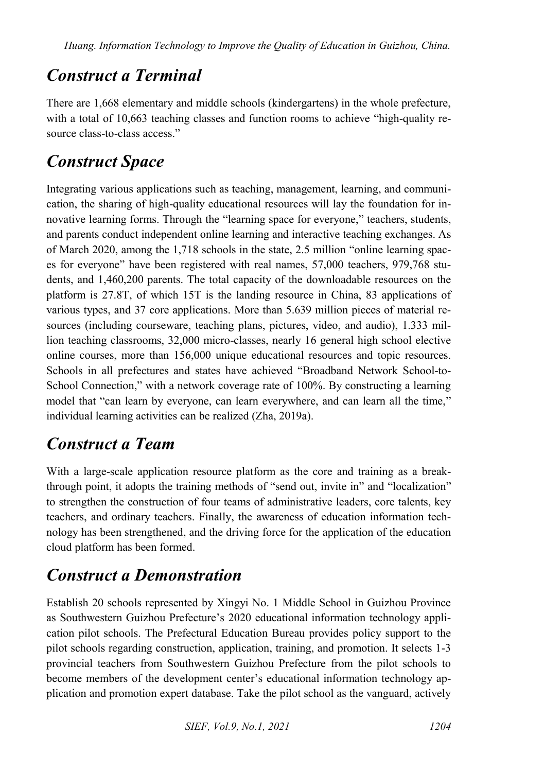#### *Construct a Terminal*

There are 1,668 elementary and middle schools (kindergartens) in the whole prefecture, with a total of 10,663 teaching classes and function rooms to achieve "high-quality resource class-to-class access."

#### *Construct Space*

Integrating various applications such as teaching, management, learning, and communication, the sharing of high-quality educational resources will lay the foundation for innovative learning forms. Through the "learning space for everyone," teachers, students, and parents conduct independent online learning and interactive teaching exchanges. As of March 2020, among the 1,718 schools in the state, 2.5 million "online learning spaces for everyone" have been registered with real names, 57,000 teachers, 979,768 students, and 1,460,200 parents. The total capacity of the downloadable resources on the platform is 27.8T, of which 15T is the landing resource in China, 83 applications of various types, and 37 core applications. More than 5.639 million pieces of material resources (including courseware, teaching plans, pictures, video, and audio), 1.333 million teaching classrooms, 32,000 micro-classes, nearly 16 general high school elective online courses, more than 156,000 unique educational resources and topic resources. Schools in all prefectures and states have achieved "Broadband Network School-to-School Connection," with a network coverage rate of 100%. By constructing a learning model that "can learn by everyone, can learn everywhere, and can learn all the time," individual learning activities can be realized (Zha, 2019a).

#### *Construct a Team*

With a large-scale application resource platform as the core and training as a breakthrough point, it adopts the training methods of "send out, invite in" and "localization" to strengthen the construction of four teams of administrative leaders, core talents, key teachers, and ordinary teachers. Finally, the awareness of education information technology has been strengthened, and the driving force for the application of the education cloud platform has been formed.

#### *Construct a Demonstration*

Establish 20 schools represented by Xingyi No. 1 Middle School in Guizhou Province as Southwestern Guizhou Prefecture's 2020 educational information technology application pilot schools. The Prefectural Education Bureau provides policy support to the pilot schools regarding construction, application, training, and promotion. It selects 1-3 provincial teachers from Southwestern Guizhou Prefecture from the pilot schools to become members of the development center's educational information technology application and promotion expert database. Take the pilot school as the vanguard, actively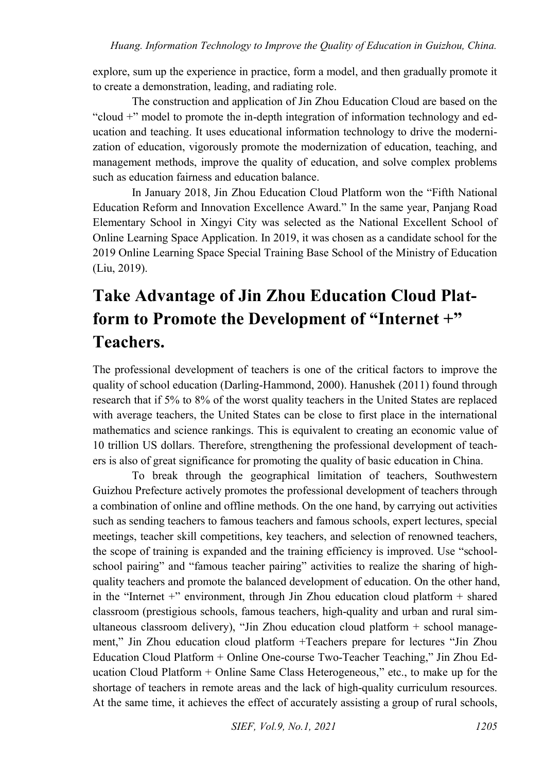explore, sum up the experience in practice, form a model, and then gradually promote it to create a demonstration, leading, and radiating role.

The construction and application of Jin Zhou Education Cloud are based on the "cloud +" model to promote the in-depth integration of information technology and education and teaching. It uses educational information technology to drive the modernization of education, vigorously promote the modernization of education, teaching, and management methods, improve the quality of education, and solve complex problems such as education fairness and education balance.

In January 2018, Jin Zhou Education Cloud Platform won the "Fifth National Education Reform and Innovation Excellence Award." In the same year, Panjang Road Elementary School in Xingyi City was selected as the National Excellent School of Online Learning Space Application. In 2019, it was chosen as a candidate school for the 2019 Online Learning Space Special Training Base School of the Ministry of Education (Liu, 2019).

## **Take Advantage of Jin Zhou Education Cloud Platform to Promote the Development of "Internet +" Teachers.**

The professional development of teachers is one of the critical factors to improve the quality of school education (Darling-Hammond, 2000). Hanushek (2011) found through research that if 5% to 8% of the worst quality teachers in the United States are replaced with average teachers, the United States can be close to first place in the international mathematics and science rankings. This is equivalent to creating an economic value of 10 trillion US dollars. Therefore, strengthening the professional development of teachers is also of great significance for promoting the quality of basic education in China.

To break through the geographical limitation of teachers, Southwestern Guizhou Prefecture actively promotes the professional development of teachers through a combination of online and offline methods. On the one hand, by carrying out activities such as sending teachers to famous teachers and famous schools, expert lectures, special meetings, teacher skill competitions, key teachers, and selection of renowned teachers, the scope of training is expanded and the training efficiency is improved. Use "schoolschool pairing" and "famous teacher pairing" activities to realize the sharing of highquality teachers and promote the balanced development of education. On the other hand, in the "Internet +" environment, through Jin Zhou education cloud platform + shared classroom (prestigious schools, famous teachers, high-quality and urban and rural simultaneous classroom delivery), "Jin Zhou education cloud platform + school management," Jin Zhou education cloud platform +Teachers prepare for lectures "Jin Zhou Education Cloud Platform + Online One-course Two-Teacher Teaching," Jin Zhou Education Cloud Platform + Online Same Class Heterogeneous," etc., to make up for the shortage of teachers in remote areas and the lack of high-quality curriculum resources. At the same time, it achieves the effect of accurately assisting a group of rural schools,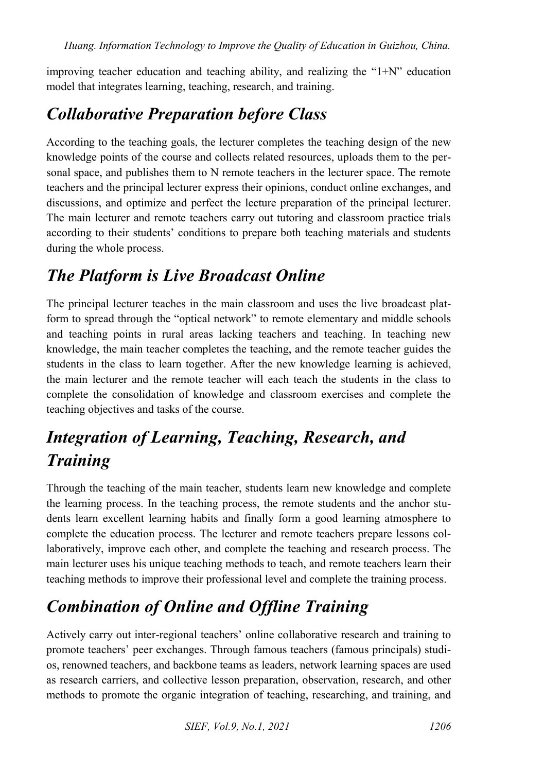improving teacher education and teaching ability, and realizing the " $1+N$ " education model that integrates learning, teaching, research, and training.

#### *Collaborative Preparation before Class*

According to the teaching goals, the lecturer completes the teaching design of the new knowledge points of the course and collects related resources, uploads them to the personal space, and publishes them to N remote teachers in the lecturer space. The remote teachers and the principal lecturer express their opinions, conduct online exchanges, and discussions, and optimize and perfect the lecture preparation of the principal lecturer. The main lecturer and remote teachers carry out tutoring and classroom practice trials according to their students' conditions to prepare both teaching materials and students during the whole process.

#### *The Platform is Live Broadcast Online*

The principal lecturer teaches in the main classroom and uses the live broadcast platform to spread through the "optical network" to remote elementary and middle schools and teaching points in rural areas lacking teachers and teaching. In teaching new knowledge, the main teacher completes the teaching, and the remote teacher guides the students in the class to learn together. After the new knowledge learning is achieved, the main lecturer and the remote teacher will each teach the students in the class to complete the consolidation of knowledge and classroom exercises and complete the teaching objectives and tasks of the course.

## *Integration of Learning, Teaching, Research, and Training*

Through the teaching of the main teacher, students learn new knowledge and complete the learning process. In the teaching process, the remote students and the anchor students learn excellent learning habits and finally form a good learning atmosphere to complete the education process. The lecturer and remote teachers prepare lessons collaboratively, improve each other, and complete the teaching and research process. The main lecturer uses his unique teaching methods to teach, and remote teachers learn their teaching methods to improve their professional level and complete the training process.

## *Combination of Online and Offline Training*

Actively carry out inter-regional teachers' online collaborative research and training to promote teachers' peer exchanges. Through famous teachers (famous principals) studios, renowned teachers, and backbone teams as leaders, network learning spaces are used as research carriers, and collective lesson preparation, observation, research, and other methods to promote the organic integration of teaching, researching, and training, and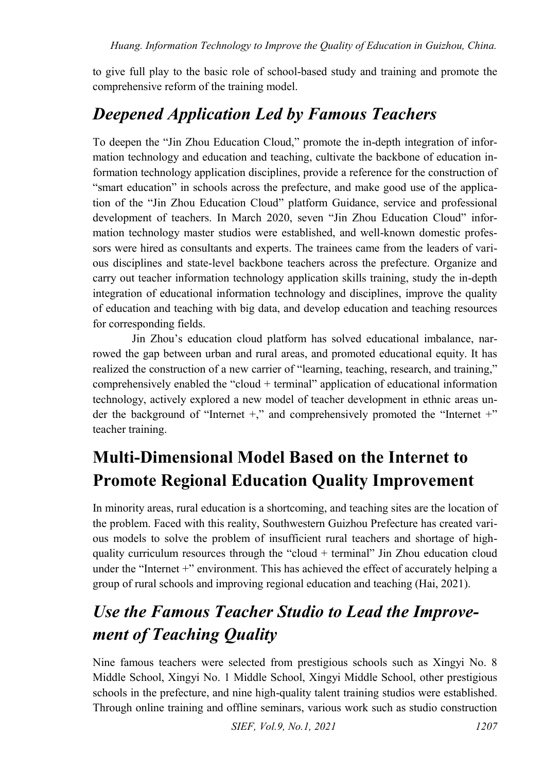to give full play to the basic role of school-based study and training and promote the comprehensive reform of the training model.

## *Deepened Application Led by Famous Teachers*

To deepen the "Jin Zhou Education Cloud," promote the in-depth integration of information technology and education and teaching, cultivate the backbone of education information technology application disciplines, provide a reference for the construction of "smart education" in schools across the prefecture, and make good use of the application of the "Jin Zhou Education Cloud" platform Guidance, service and professional development of teachers. In March 2020, seven "Jin Zhou Education Cloud" information technology master studios were established, and well-known domestic professors were hired as consultants and experts. The trainees came from the leaders of various disciplines and state-level backbone teachers across the prefecture. Organize and carry out teacher information technology application skills training, study the in-depth integration of educational information technology and disciplines, improve the quality of education and teaching with big data, and develop education and teaching resources for corresponding fields.

Jin Zhou's education cloud platform has solved educational imbalance, narrowed the gap between urban and rural areas, and promoted educational equity. It has realized the construction of a new carrier of "learning, teaching, research, and training," comprehensively enabled the "cloud + terminal" application of educational information technology, actively explored a new model of teacher development in ethnic areas under the background of "Internet +," and comprehensively promoted the "Internet +" teacher training.

## **Multi-Dimensional Model Based on the Internet to Promote Regional Education Quality Improvement**

In minority areas, rural education is a shortcoming, and teaching sites are the location of the problem. Faced with this reality, Southwestern Guizhou Prefecture has created various models to solve the problem of insufficient rural teachers and shortage of highquality curriculum resources through the "cloud + terminal" Jin Zhou education cloud under the "Internet +" environment. This has achieved the effect of accurately helping a group of rural schools and improving regional education and teaching (Hai, 2021).

## *Use the Famous Teacher Studio to Lead the Improvement of Teaching Quality*

Nine famous teachers were selected from prestigious schools such as Xingyi No. 8 Middle School, Xingyi No. 1 Middle School, Xingyi Middle School, other prestigious schools in the prefecture, and nine high-quality talent training studios were established. Through online training and offline seminars, various work such as studio construction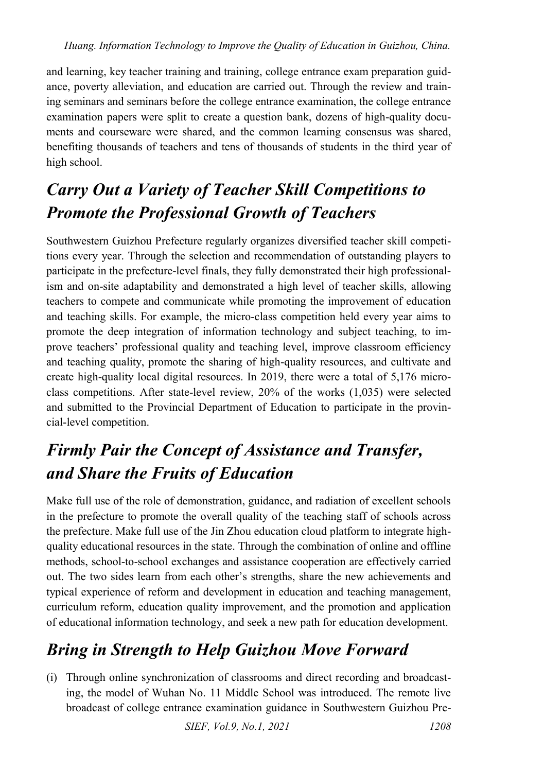and learning, key teacher training and training, college entrance exam preparation guidance, poverty alleviation, and education are carried out. Through the review and training seminars and seminars before the college entrance examination, the college entrance examination papers were split to create a question bank, dozens of high-quality documents and courseware were shared, and the common learning consensus was shared, benefiting thousands of teachers and tens of thousands of students in the third year of high school.

## *Carry Out a Variety of Teacher Skill Competitions to Promote the Professional Growth of Teachers*

Southwestern Guizhou Prefecture regularly organizes diversified teacher skill competitions every year. Through the selection and recommendation of outstanding players to participate in the prefecture-level finals, they fully demonstrated their high professionalism and on-site adaptability and demonstrated a high level of teacher skills, allowing teachers to compete and communicate while promoting the improvement of education and teaching skills. For example, the micro-class competition held every year aims to promote the deep integration of information technology and subject teaching, to improve teachers' professional quality and teaching level, improve classroom efficiency and teaching quality, promote the sharing of high-quality resources, and cultivate and create high-quality local digital resources. In 2019, there were a total of 5,176 microclass competitions. After state-level review, 20% of the works (1,035) were selected and submitted to the Provincial Department of Education to participate in the provincial-level competition.

#### *Firmly Pair the Concept of Assistance and Transfer, and Share the Fruits of Education*

Make full use of the role of demonstration, guidance, and radiation of excellent schools in the prefecture to promote the overall quality of the teaching staff of schools across the prefecture. Make full use of the Jin Zhou education cloud platform to integrate highquality educational resources in the state. Through the combination of online and offline methods, school-to-school exchanges and assistance cooperation are effectively carried out. The two sides learn from each other's strengths, share the new achievements and typical experience of reform and development in education and teaching management, curriculum reform, education quality improvement, and the promotion and application of educational information technology, and seek a new path for education development.

#### *Bring in Strength to Help Guizhou Move Forward*

(i) Through online synchronization of classrooms and direct recording and broadcasting, the model of Wuhan No. 11 Middle School was introduced. The remote live broadcast of college entrance examination guidance in Southwestern Guizhou Pre-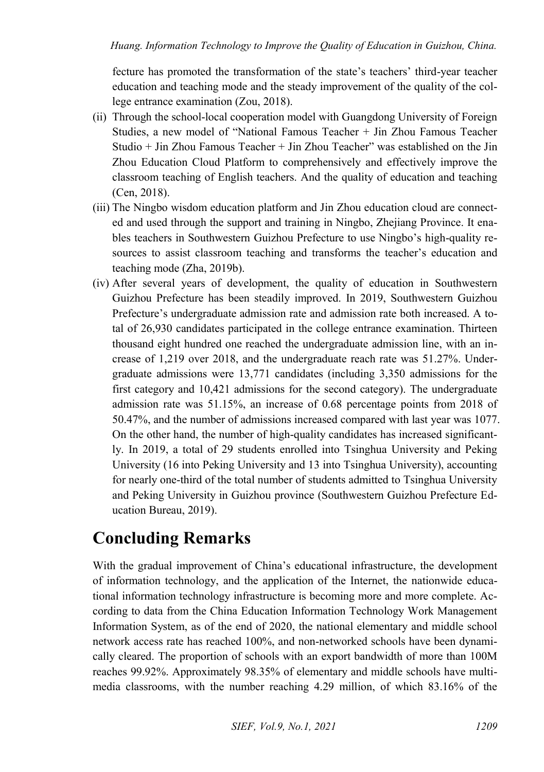fecture has promoted the transformation of the state's teachers' third-year teacher education and teaching mode and the steady improvement of the quality of the college entrance examination (Zou, 2018).

- (ii) Through the school-local cooperation model with Guangdong University of Foreign Studies, a new model of "National Famous Teacher + Jin Zhou Famous Teacher Studio + Jin Zhou Famous Teacher + Jin Zhou Teacher" was established on the Jin Zhou Education Cloud Platform to comprehensively and effectively improve the classroom teaching of English teachers. And the quality of education and teaching (Cen, 2018).
- (iii) The Ningbo wisdom education platform and Jin Zhou education cloud are connected and used through the support and training in Ningbo, Zhejiang Province. It enables teachers in Southwestern Guizhou Prefecture to use Ningbo's high-quality resources to assist classroom teaching and transforms the teacher's education and teaching mode (Zha, 2019b).
- (iv) After several years of development, the quality of education in Southwestern Guizhou Prefecture has been steadily improved. In 2019, Southwestern Guizhou Prefecture's undergraduate admission rate and admission rate both increased. A total of 26,930 candidates participated in the college entrance examination. Thirteen thousand eight hundred one reached the undergraduate admission line, with an increase of 1,219 over 2018, and the undergraduate reach rate was 51.27%. Undergraduate admissions were 13,771 candidates (including 3,350 admissions for the first category and 10,421 admissions for the second category). The undergraduate admission rate was 51.15%, an increase of 0.68 percentage points from 2018 of 50.47%, and the number of admissions increased compared with last year was 1077. On the other hand, the number of high-quality candidates has increased significantly. In 2019, a total of 29 students enrolled into Tsinghua University and Peking University (16 into Peking University and 13 into Tsinghua University), accounting for nearly one-third of the total number of students admitted to Tsinghua University and Peking University in Guizhou province (Southwestern Guizhou Prefecture Education Bureau, 2019).

#### **Concluding Remarks**

With the gradual improvement of China's educational infrastructure, the development of information technology, and the application of the Internet, the nationwide educational information technology infrastructure is becoming more and more complete. According to data from the China Education Information Technology Work Management Information System, as of the end of 2020, the national elementary and middle school network access rate has reached 100%, and non-networked schools have been dynamically cleared. The proportion of schools with an export bandwidth of more than 100M reaches 99.92%. Approximately 98.35% of elementary and middle schools have multimedia classrooms, with the number reaching 4.29 million, of which 83.16% of the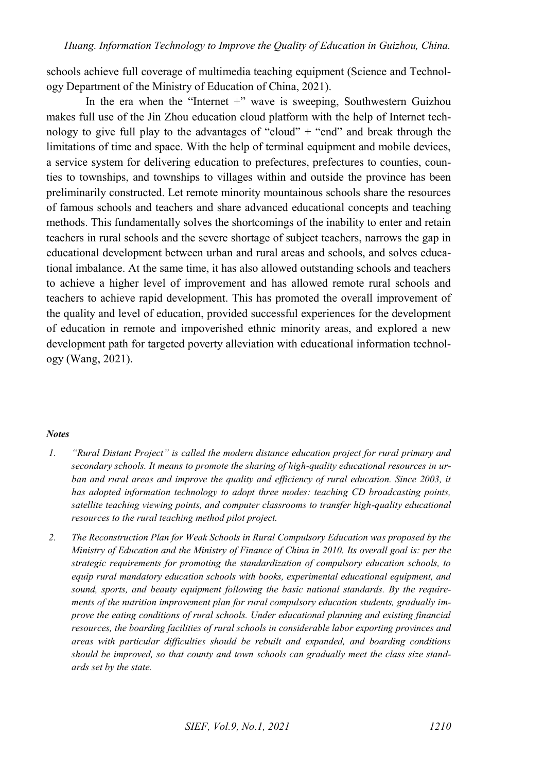schools achieve full coverage of multimedia teaching equipment (Science and Technology Department of the Ministry of Education of China, 2021).

In the era when the "Internet  $+$ " wave is sweeping, Southwestern Guizhou makes full use of the Jin Zhou education cloud platform with the help of Internet technology to give full play to the advantages of "cloud"  $+$  "end" and break through the limitations of time and space. With the help of terminal equipment and mobile devices, a service system for delivering education to prefectures, prefectures to counties, counties to townships, and townships to villages within and outside the province has been preliminarily constructed. Let remote minority mountainous schools share the resources of famous schools and teachers and share advanced educational concepts and teaching methods. This fundamentally solves the shortcomings of the inability to enter and retain teachers in rural schools and the severe shortage of subject teachers, narrows the gap in educational development between urban and rural areas and schools, and solves educational imbalance. At the same time, it has also allowed outstanding schools and teachers to achieve a higher level of improvement and has allowed remote rural schools and teachers to achieve rapid development. This has promoted the overall improvement of the quality and level of education, provided successful experiences for the development of education in remote and impoverished ethnic minority areas, and explored a new development path for targeted poverty alleviation with educational information technology (Wang, 2021).

#### *Notes*

- <span id="page-11-0"></span>*1. "Rural Distant Project" is called the modern distance education project for rural primary and secondary schools. It means to promote the sharing of high-quality educational resources in urban and rural areas and improve the quality and efficiency of rural education. Since 2003, it has adopted information technology to adopt three modes: teaching CD broadcasting points, satellite teaching viewing points, and computer classrooms to transfer high-quality educational resources to the rural teaching method pilot project.*
- <span id="page-11-1"></span>*2. The Reconstruction Plan for Weak Schools in Rural Compulsory Education was proposed by the Ministry of Education and the Ministry of Finance of China in 2010. Its overall goal is: per the strategic requirements for promoting the standardization of compulsory education schools, to equip rural mandatory education schools with books, experimental educational equipment, and sound, sports, and beauty equipment following the basic national standards. By the requirements of the nutrition improvement plan for rural compulsory education students, gradually improve the eating conditions of rural schools. Under educational planning and existing financial resources, the boarding facilities of rural schools in considerable labor exporting provinces and areas with particular difficulties should be rebuilt and expanded, and boarding conditions should be improved, so that county and town schools can gradually meet the class size standards set by the state.*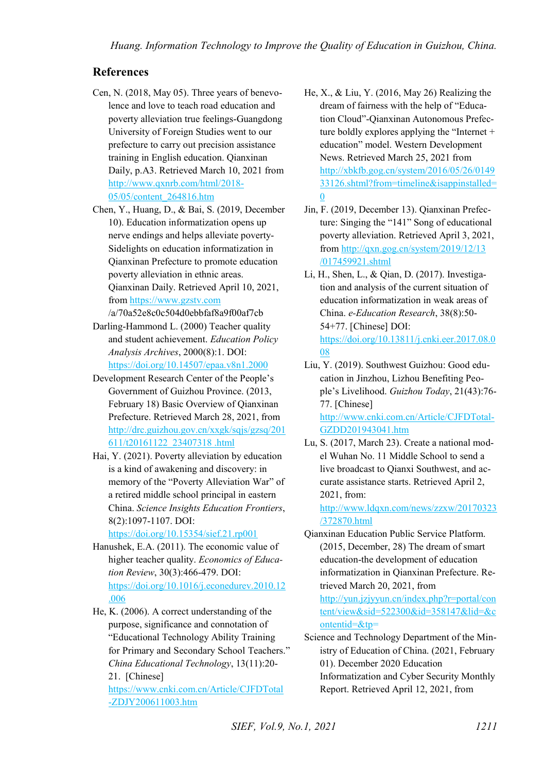#### **References**

- Cen, N. (2018, May 05). Three years of benevolence and love to teach road education and poverty alleviation true feelings-Guangdong University of Foreign Studies went to our prefecture to carry out precision assistance training in English education. Qianxinan Daily, p.A3. Retrieved March 10, 2021 from [http://www.qxnrb.com/html/2018-](http://www.qxnrb.com/html/2018-05/05/content_264816.htm) [05/05/content\\_264816.htm](http://www.qxnrb.com/html/2018-05/05/content_264816.htm)
- Chen, Y., Huang, D., & Bai, S. (2019, December 10). Education informatization opens up nerve endings and helps alleviate poverty-Sidelights on education informatization in Qianxinan Prefecture to promote education poverty alleviation in ethnic areas. Qianxinan Daily. Retrieved April 10, 2021, fro[m https://www.gzstv.com](https://www.gzstv.com/)

/a/70a52e8c0c504d0ebbfaf8a9f00af7cb Darling-Hammond L. (2000) Teacher quality and student achievement. *Education Policy Analysis Archives*, 2000(8):1. DOI:

<https://doi.org/10.14507/epaa.v8n1.2000> Development Research Center of the People's Government of Guizhou Province. (2013,

February 18) Basic Overview of Qianxinan Prefecture. Retrieved March 28, 2021, from [http://drc.guizhou.gov.cn/xxgk/sqjs/gzsq/201](http://drc.guizhou.gov.cn/xxgk/sqjs/gzsq/201611/t20161122_23407318%20.html) [611/t20161122\\_23407318 .html](http://drc.guizhou.gov.cn/xxgk/sqjs/gzsq/201611/t20161122_23407318%20.html)

Hai, Y. (2021). Poverty alleviation by education is a kind of awakening and discovery: in memory of the "Poverty Alleviation War" of a retired middle school principal in eastern China. *Science Insights Education Frontiers*, 8(2):1097-1107. DOI:

<https://doi.org/10.15354/sief.21.rp001>

- Hanushek, E.A. (2011). The economic value of higher teacher quality. *Economics of Education Review*, 30(3):466-479. DOI: [https://doi.org/10.1016/j.econedurev.2010.12](https://doi.org/10.1016/j.econedurev.2010.12.006) [.006](https://doi.org/10.1016/j.econedurev.2010.12.006)
- He, K. (2006). A correct understanding of the purpose, significance and connotation of "Educational Technology Ability Training for Primary and Secondary School Teachers." *China Educational Technology*, 13(11):20- 21. [Chinese]

[https://www.cnki.com.cn/Article/CJFDTotal](https://www.cnki.com.cn/Article/CJFDTotal-ZDJY200611003.htm) [-ZDJY200611003.htm](https://www.cnki.com.cn/Article/CJFDTotal-ZDJY200611003.htm) 

- He,  $X_{.}$ ,  $\&$  Liu, Y. (2016, May 26) Realizing the dream of fairness with the help of "Education Cloud"-Qianxinan Autonomous Prefecture boldly explores applying the "Internet + education" model. Western Development News. Retrieved March 25, 2021 from [http://xbkfb.gog.cn/system/2016/05/26/0149](http://xbkfb.gog.cn/system/2016/05/26/014933126.shtml?from=timeline&isappinstalled=0) [33126.shtml?from=timeline&isappinstalled=](http://xbkfb.gog.cn/system/2016/05/26/014933126.shtml?from=timeline&isappinstalled=0)  $\theta$
- Jin, F. (2019, December 13). Qianxinan Prefecture: Singing the "141" Song of educational poverty alleviation. Retrieved April 3, 2021, fro[m http://qxn.gog.cn/system/2019/12/13](http://qxn.gog.cn/system/2019/12/13%20/017459921.shtml)  [/017459921.shtml](http://qxn.gog.cn/system/2019/12/13%20/017459921.shtml)
- Li, H., Shen, L., & Qian, D. (2017). Investigation and analysis of the current situation of education informatization in weak areas of China. *e-Education Research*, 38(8):50- 54+77. [Chinese] DOI: [https://doi.org/10.13811/j.cnki.eer.2017.08.0](https://doi.org/10.13811/j.cnki.eer.2017.08.008) [08](https://doi.org/10.13811/j.cnki.eer.2017.08.008)
- Liu, Y. (2019). Southwest Guizhou: Good education in Jinzhou, Lizhou Benefiting People's Livelihood. *Guizhou Today*, 21(43):76- 77. [Chinese] [http://www.cnki.com.cn/Article/CJFDTotal-](http://www.cnki.com.cn/Article/CJFDTotal-GZDD201943041.htm)

[GZDD201943041.htm](http://www.cnki.com.cn/Article/CJFDTotal-GZDD201943041.htm)

Lu, S. (2017, March 23). Create a national model Wuhan No. 11 Middle School to send a live broadcast to Qianxi Southwest, and accurate assistance starts. Retrieved April 2, 2021, from:

[http://www.ldqxn.com/news/zzxw/20170323](http://www.ldqxn.com/news/zzxw/20170323%20/372870.html)  [/372870.html](http://www.ldqxn.com/news/zzxw/20170323%20/372870.html)

Qianxinan Education Public Service Platform. (2015, December, 28) The dream of smart education-the development of education informatization in Qianxinan Prefecture. Retrieved March 20, 2021, from

[http://yun.jzjyyun.cn/index.php?r=portal/con](http://yun.jzjyyun.cn/index.php?r=portal/content/view&sid=522300&id=358147&lid=&contentid=&tp) [tent/view&sid=522300&id=358147&lid=&c](http://yun.jzjyyun.cn/index.php?r=portal/content/view&sid=522300&id=358147&lid=&contentid=&tp) [ontentid=&tp=](http://yun.jzjyyun.cn/index.php?r=portal/content/view&sid=522300&id=358147&lid=&contentid=&tp)

Science and Technology Department of the Ministry of Education of China. (2021, February 01). December 2020 Education Informatization and Cyber Security Monthly Report. Retrieved April 12, 2021, from